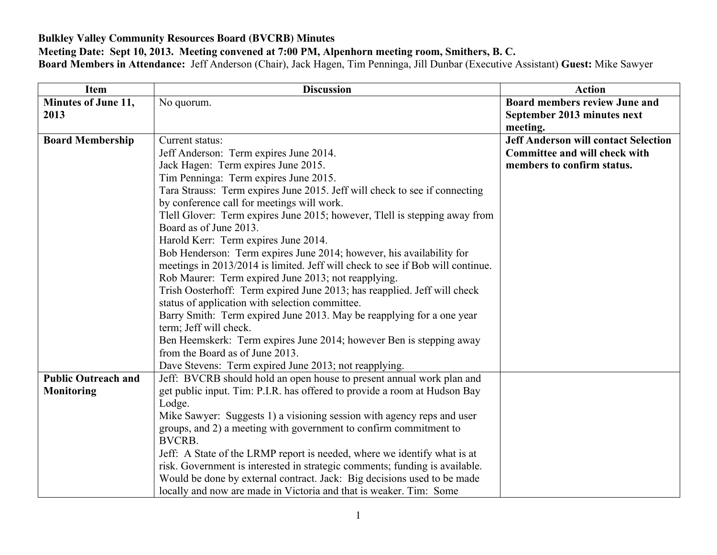## **Bulkley Valley Community Resources Board (BVCRB) Minutes**

## **Meeting Date: Sept 10, 2013. Meeting convened at 7:00 PM, Alpenhorn meeting room, Smithers, B. C.**

**Board Members in Attendance:** Jeff Anderson (Chair), Jack Hagen, Tim Penninga, Jill Dunbar (Executive Assistant) **Guest:** Mike Sawyer

| <b>Item</b>                | <b>Discussion</b>                                                              | <b>Action</b>                               |
|----------------------------|--------------------------------------------------------------------------------|---------------------------------------------|
| Minutes of June 11,        | No quorum.                                                                     | <b>Board members review June and</b>        |
| 2013                       |                                                                                | September 2013 minutes next                 |
|                            |                                                                                | meeting.                                    |
| <b>Board Membership</b>    | Current status:                                                                | <b>Jeff Anderson will contact Selection</b> |
|                            | Jeff Anderson: Term expires June 2014.                                         | <b>Committee and will check with</b>        |
|                            | Jack Hagen: Term expires June 2015.                                            | members to confirm status.                  |
|                            | Tim Penninga: Term expires June 2015.                                          |                                             |
|                            | Tara Strauss: Term expires June 2015. Jeff will check to see if connecting     |                                             |
|                            | by conference call for meetings will work.                                     |                                             |
|                            | Tlell Glover: Term expires June 2015; however, Tlell is stepping away from     |                                             |
|                            | Board as of June 2013.                                                         |                                             |
|                            | Harold Kerr: Term expires June 2014.                                           |                                             |
|                            | Bob Henderson: Term expires June 2014; however, his availability for           |                                             |
|                            | meetings in 2013/2014 is limited. Jeff will check to see if Bob will continue. |                                             |
|                            | Rob Maurer: Term expired June 2013; not reapplying.                            |                                             |
|                            | Trish Oosterhoff: Term expired June 2013; has reapplied. Jeff will check       |                                             |
|                            | status of application with selection committee.                                |                                             |
|                            | Barry Smith: Term expired June 2013. May be reapplying for a one year          |                                             |
|                            | term; Jeff will check.                                                         |                                             |
|                            | Ben Heemskerk: Term expires June 2014; however Ben is stepping away            |                                             |
|                            | from the Board as of June 2013.                                                |                                             |
|                            | Dave Stevens: Term expired June 2013; not reapplying.                          |                                             |
| <b>Public Outreach and</b> | Jeff: BVCRB should hold an open house to present annual work plan and          |                                             |
| <b>Monitoring</b>          | get public input. Tim: P.I.R. has offered to provide a room at Hudson Bay      |                                             |
|                            | Lodge.                                                                         |                                             |
|                            | Mike Sawyer: Suggests 1) a visioning session with agency reps and user         |                                             |
|                            | groups, and 2) a meeting with government to confirm commitment to              |                                             |
|                            | <b>BVCRB.</b>                                                                  |                                             |
|                            | Jeff: A State of the LRMP report is needed, where we identify what is at       |                                             |
|                            | risk. Government is interested in strategic comments; funding is available.    |                                             |
|                            | Would be done by external contract. Jack: Big decisions used to be made        |                                             |
|                            | locally and now are made in Victoria and that is weaker. Tim: Some             |                                             |